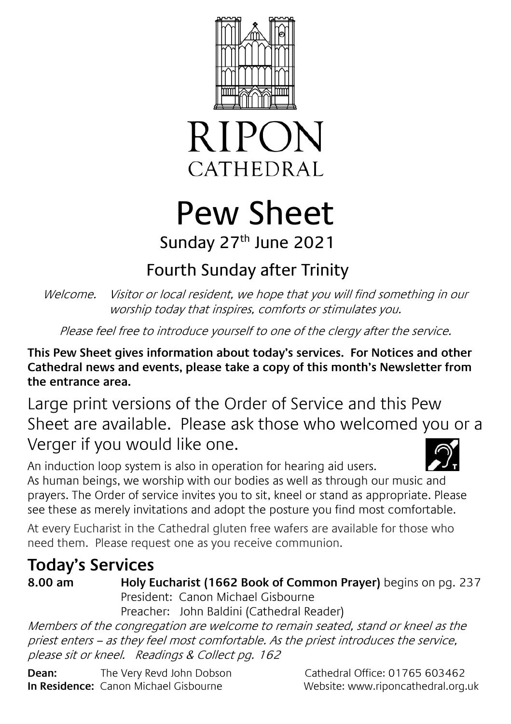



# Pew Sheet Sunday 27<sup>th</sup> June 2021

## Fourth Sunday after Trinity

Welcome. Visitor or local resident, we hope that you will find something in our worship today that inspires, comforts or stimulates you.

Please feel free to introduce yourself to one of the clergy after the service.

**This Pew Sheet gives information about today's services. For Notices and other Cathedral news and events, please take a copy of this month's Newsletter from the entrance area.** 

Large print versions of the Order of Service and this Pew Sheet are available. Please ask those who welcomed you or a Verger if you would like one.

An induction loop system is also in operation for hearing aid users. As human beings, we worship with our bodies as well as through our music and prayers. The Order of service invites you to sit, kneel or stand as appropriate. Please see these as merely invitations and adopt the posture you find most comfortable.

At every Eucharist in the Cathedral gluten free wafers are available for those who need them. Please request one as you receive communion.

## **Today's Services**

**8.00 am Holy Eucharist (1662 Book of Common Prayer)** begins on pg. 237 President: Canon Michael Gisbourne Preacher: John Baldini (Cathedral Reader)

Members of the congregation are welcome to remain seated, stand or kneel as the priest enters – as they feel most comfortable. As the priest introduces the service, please sit or kneel. Readings & Collect pg. 162

**Dean:** The Very Revd John Dobson Cathedral Office: 01765 603462 **In Residence:** Canon Michael Gisbourne Website: www.riponcathedral.org.uk